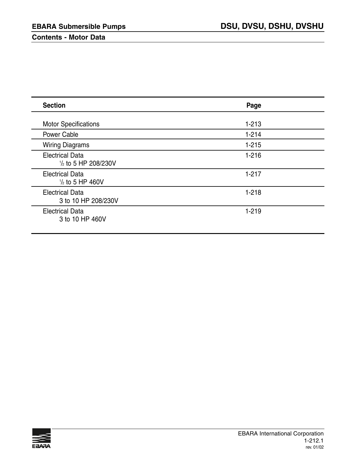#### **Contents - Motor Data**

| <b>Section</b>                                           | Page      |
|----------------------------------------------------------|-----------|
| <b>Motor Specifications</b>                              | $1 - 213$ |
| <b>Power Cable</b>                                       | $1 - 214$ |
| <b>Wiring Diagrams</b>                                   | $1 - 215$ |
| <b>Electrical Data</b><br>$\frac{1}{2}$ to 5 HP 208/230V | $1 - 216$ |
| <b>Electrical Data</b><br>$\frac{1}{2}$ to 5 HP 460V     | $1 - 217$ |
| <b>Electrical Data</b><br>3 to 10 HP 208/230V            | $1 - 218$ |
| <b>Electrical Data</b><br>3 to 10 HP 460V                | $1 - 219$ |

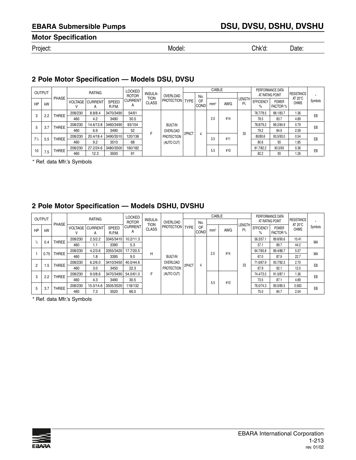**Motor Specification**

Project: Model: Chk'd: Date:

# **2 Pole Motor Specification — Models DSU, DVSU**

|           |               |         |           |                             |                        | <b>LOCKED</b>                          |              |                   |       |                   | CABLE           |            |               | PERFORMANCE DATA          |                          |                                  |         |
|-----------|---------------|---------|-----------|-----------------------------|------------------------|----------------------------------------|--------------|-------------------|-------|-------------------|-----------------|------------|---------------|---------------------------|--------------------------|----------------------------------|---------|
|           | <b>OUTPUT</b> | PHASE   |           | <b>RATING</b>               |                        | <b>INSULA-</b><br><b>ROTOR</b><br>tion |              | OVERLOAD          |       | No.               |                 |            |               | AT RATING POINT           |                          | RESISTANCE                       |         |
| HP        | kW            |         |           | <b>VOLTAGE CURRENT</b><br>А | <b>SPEED</b><br>R.P.M. | <b>CURRENT</b><br>A                    | <b>CLASS</b> | PROTECTION   TYPE |       | OF<br><b>COND</b> | mm <sup>2</sup> | <b>AWG</b> | LENGTH<br>Ft. | <b>EFFICIENCY</b><br>$\%$ | <b>POWER</b><br>FACTOR % | AT $20^{\circ}$ C<br><b>OHMS</b> | Symbols |
|           |               | THREE   | 208/230   | 8.8/8.4                     | 3470/3490              | 54/61                                  |              |                   |       |                   |                 |            |               | 78.7/78.5                 | 88.1/83.7                | 1.36                             | EB      |
|           | 3<br>2.2      |         | 460       | 4.2                         | 3490                   | 30.5                                   |              |                   |       |                   | 2.0             | #14        |               | 78.5                      | 83.7                     | 4.89                             |         |
| 5         | 3.7           | THREE   | 208/230   | 14.6/13.8                   | 3460/3490              | 93/104                                 |              | BUILT-IN          |       |                   |                 |            |               | 78.8/79.2                 | 89.2/84.9                | 0.79                             | EB      |
|           |               |         | 460       | 6.9                         | 3490                   | 52                                     |              | OVERLOAD          |       |                   |                 |            |               | 79.2                      | 84.9                     | 2.59                             |         |
| $7^{1/2}$ |               | THREE   | 208/230   | 20.4/18.4                   | 3490/3510              | 120/136                                |              | <b>PROTECTION</b> | 2PNCT | 4                 | 3.5             | #11        | 33            | 80/80.6                   | 93.5/93.0                | 0.54                             | EB      |
|           | 5.5           |         | 460       | 9.2                         | 3510                   | 68                                     |              | (AUTO CUT)        |       |                   |                 |            |               | 80.6                      | 93                       | 1.85                             |         |
|           | <b>THREE</b>  | 208/230 | 27.2/24.6 | 3480/3500                   | 160/182                |                                        |              |                   |       | 5.5               | #10             |            | 81.7/82.2     | 93.5/93                   | 0.36                     | EB                               |         |
| 10        | 7.5           |         | 460       | 12.3                        | 3500                   | 91                                     |              |                   |       |                   |                 |            |               | 82.2                      | 93                       | 1.26                             |         |

\* Ref. data Mfr.'s Symbols

# **2 Pole Motor Specification — Models DSHU, DVSHU**

|                |          |              |                |                     |                        | <b>LOCKED</b>                                 |              |                   |             |                   | CABLE           |            |                      |                           | PERFORMANCE DATA                |                                        |         |
|----------------|----------|--------------|----------------|---------------------|------------------------|-----------------------------------------------|--------------|-------------------|-------------|-------------------|-----------------|------------|----------------------|---------------------------|---------------------------------|----------------------------------------|---------|
| <b>OUTPUT</b>  |          | <b>PHASE</b> |                | <b>RATING</b>       |                        | <b>INSULA-</b><br><b>ROTOR</b><br><b>TION</b> |              | OVERLOAD          |             | No.               |                 |            |                      | AT RATING POINT           |                                 | <b>RESISTANCE</b><br>AT $20^{\circ}$ C | $\star$ |
| HP             | kW       |              | <b>VOLTAGE</b> | <b>CURRENT</b><br>A | <b>SPEED</b><br>R.P.M. | <b>CURRENT</b><br>А                           | <b>CLASS</b> | <b>PROTECTION</b> | <b>TYPE</b> | OF<br><b>COND</b> | mm <sup>2</sup> | <b>AWG</b> | <b>LENGTH</b><br>Ft. | <b>EFFICIENCY</b><br>$\%$ | <b>POWER</b><br><b>FACTOR %</b> | <b>OHMS</b>                            | Symbols |
| $\frac{1}{2}$  | 0.4      | <b>THREE</b> | 208/230        | 2.5/2.2             | 3345/3410              | 10.2/11.3                                     |              |                   |             |                   |                 |            |                      | 56.3/57.1                 | 89.6/90.6                       | 10.41                                  | MA      |
|                |          |              | 460            | 1.1                 | 3390                   | 5.3                                           |              |                   |             |                   |                 |            |                      | 57.1                      | 89.7                            | 44.2                                   |         |
|                | 0.75     | <b>THREE</b> | 208/230        | 4.2/3.6             | 3355/3420              | 17.7/20.5                                     | н            |                   |             |                   | 2.0             | #14        |                      | 64.7/65.8                 | 89.4/86.7                       | 5.57                                   | MA      |
|                |          |              | 460            | 1.8                 | 3395                   | 9.0                                           |              | <b>BUILT-IN</b>   |             |                   |                 |            |                      | 67.0                      | 87.9                            | 22.7                                   |         |
| $\overline{2}$ | 1.5      | <b>THREE</b> | 208/230        | 6.2/6.0             | 3410/3450              | 40.0/44.6                                     |              | OVERLOAD          | 2PHCT       | 4                 |                 |            | 33                   | 71.6/67.9                 | 93.7/92.3                       | 2.70                                   | EB      |
|                |          |              | 460            | 3.0                 | 3450                   | 22.3                                          |              | <b>PROTECTION</b> |             |                   |                 |            |                      | 67.9                      | 92.1                            | 12.0                                   |         |
|                |          | <b>THREE</b> | 208/230        | 9.0/8.6             | 3470/3490              | 54.0/61.0                                     | F            | (AUTO CUT)        |             |                   |                 |            |                      | 74.4/73.5                 | 91.0/87.1                       | 1.36                                   | EB      |
|                | 3<br>2.2 |              | 460            | 4.3                 | 3490                   | 30.5                                          |              |                   |             |                   | 5.5             | #10        |                      | 73.5                      | 87.1                            | 4.89                                   |         |
|                | 5<br>3.7 | <b>THREE</b> | 208/230        | 15.0/14.6           | 3505/3520              | 118/132                                       |              |                   |             |                   |                 |            |                      | 76.0/74.3                 | 90.0/85.5                       | 0.563                                  | EB      |
|                |          |              | 460            | 7.3                 | 3520                   | 66.0                                          |              |                   |             |                   |                 |            |                      | 75.0                      | 84.7                            | 2.04                                   |         |

\* Ref. data Mfr.'s Symbols

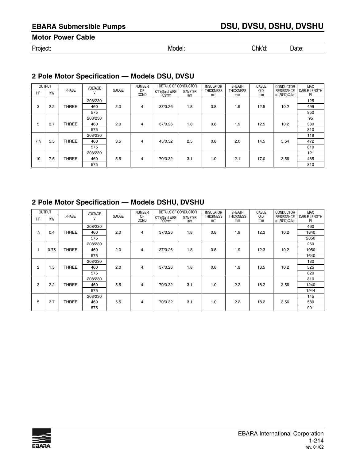# **Motor Power Cable**

Project: Model: Chk'd: Date:

# **2 Pole Motor Specification — Models DSU, DVSU**

|           | OUTPUT    |              | <b>VOLTAGE</b> |       | <b>NUMBER</b> | DETAILS OF CONDUCTOR       |                       | <b>INSULATOR</b>       | <b>SHEATH</b>          | CABLE      | <b>CONDUCTOR</b>                            | MAX                |
|-----------|-----------|--------------|----------------|-------|---------------|----------------------------|-----------------------|------------------------|------------------------|------------|---------------------------------------------|--------------------|
| HP        | <b>KW</b> | PHASE        | ν              | GAUGE | 0F<br>COND    | Q'TY/Dia of WIRE<br>PCS/mm | <b>DIAMETER</b><br>mm | <b>THICKNESS</b><br>mm | <b>THICKNESS</b><br>mm | 0.D.<br>mm | <b>RESISTANCE</b><br>at (20°C) $\Omega$ /km | CABLE LENGTH<br>Ft |
|           |           |              | 208/230        |       |               |                            |                       |                        |                        |            |                                             | 125                |
| 3         | 2.2       | <b>THREE</b> | 460            | 2.0   | 4             | 37/0.26                    | 1.8                   | 0.8                    | 1.9                    | 12.5       | 10.2                                        | 499                |
|           |           |              | 575            |       |               |                            |                       |                        |                        |            |                                             | 950                |
|           |           |              | 208/230        |       |               |                            |                       |                        |                        |            |                                             | 95                 |
| 5         | 3.7       | <b>THREE</b> | 460            | 2.0   | 4             | 37/0.26                    | 1.8                   | 0.8                    | 1.9                    | 12.5       | 10.2                                        | 380                |
|           |           |              | 575            |       |               |                            |                       |                        |                        |            |                                             | 810                |
|           |           |              | 208/230        |       |               |                            |                       |                        |                        |            |                                             | 118                |
| $7^{1/2}$ | 5.5       | <b>THREE</b> | 460            | 3.5   | 4             | 45/0.32                    | 2.5                   | 0.8                    | 2.0                    | 14.5       | 5.54                                        | 472                |
|           |           |              | 575            |       |               |                            |                       |                        |                        |            |                                             | 810                |
|           |           |              | 208/230        |       |               |                            |                       |                        |                        |            |                                             | 121                |
| 10        | 7.5       | <b>THREE</b> | 460            | 5.5   | 4             | 70/0.32                    | 3.1                   | 1.0                    | 2.1                    | 17.0       | 3.56                                        | 485                |
|           |           |              | 575            |       |               |                            |                       |                        |                        |            |                                             | 810                |

# **2 Pole Motor Specification — Models DSHU, DVSHU**

|          | <b>OUTPUT</b> |              | <b>VOLTAGE</b> |              | <b>NUMBER</b> | DETAILS OF CONDUCTOR       |                       | <b>INSULATOR</b>       | <b>SHEATH</b>          | CABLE      | <b>CONDUCTOR</b>                            | <b>MAX</b>                |
|----------|---------------|--------------|----------------|--------------|---------------|----------------------------|-----------------------|------------------------|------------------------|------------|---------------------------------------------|---------------------------|
| HP       | KW            | PHASE        | V              | <b>GAUGE</b> | OF<br>COND    | Q'TY/Dia of WIRE<br>PCS/mm | <b>DIAMETER</b><br>mm | <b>THICKNESS</b><br>mm | <b>THICKNESS</b><br>mm | 0.D.<br>mm | <b>RESISTANCE</b><br>at (20°C) $\Omega$ /km | <b>CABLE LENGTH</b><br>Ft |
|          |               |              | 208/230        |              |               |                            |                       |                        |                        |            |                                             | 460                       |
| $^{1/2}$ | 0.4           | <b>THREE</b> | 460            | 2.0          | 4             | 37/0.26                    | 1.8                   | 0.8                    | 1.9                    | 12.3       | 10.2                                        | 1840                      |
|          |               |              | 575            |              |               |                            |                       |                        |                        |            |                                             | 2850                      |
|          |               |              | 208/230        |              |               |                            |                       |                        |                        |            |                                             | 260                       |
|          | 0.75          | <b>THREE</b> | 460            | 2.0          | 4             | 37/0.26                    | 1.8                   | 0.8                    | 1.9                    | 12.3       | 10.2                                        | 1050                      |
|          |               |              | 575            |              |               |                            |                       |                        |                        |            |                                             | 1640                      |
|          |               |              | 208/230        |              |               |                            |                       |                        |                        |            |                                             | 130                       |
| 2        | 1.5           | <b>THREE</b> | 460            | 2.0          | 4             | 37/0.26                    | 1.8                   | 0.8                    | 1.9                    | 13.5       | 10.2                                        | 525                       |
|          |               |              | 575            |              |               |                            |                       |                        |                        |            |                                             | 820                       |
|          |               |              | 208/230        |              |               |                            |                       |                        |                        |            |                                             | 310                       |
| 3        | 2.2           | <b>THREE</b> | 460            | 5.5          | 4             | 70/0.32                    | 3.1                   | 1.0                    | 2.2                    | 18.2       | 3.56                                        | 1240                      |
|          |               |              | 575            |              |               |                            |                       |                        |                        |            |                                             | 1944                      |
|          |               |              | 208/230        |              |               |                            |                       |                        |                        |            |                                             | 145                       |
| 5        | 3.7           | <b>THREE</b> | 460            | 5.5          | 4             | 70/0.32                    | 3.1                   | 1.0                    | 2.2                    | 18.2       | 3.56                                        | 580                       |
|          |               |              | 575            |              |               |                            |                       |                        |                        |            |                                             | 901                       |

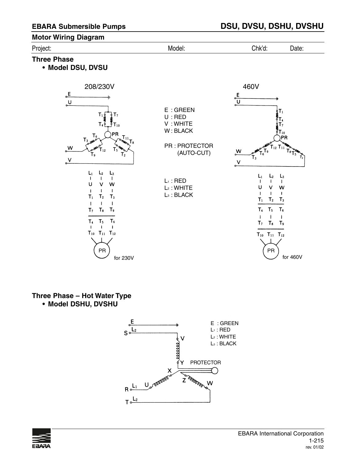#### **Motor Wiring Diagram**

| Project:           | Model: | Chk'd: | Date: |
|--------------------|--------|--------|-------|
| <b>Three Phase</b> |        |        |       |

**• Model DSU, DVSU**



# **Three Phase – Hot Water Type**

**• Model DSHU, DVSHU**



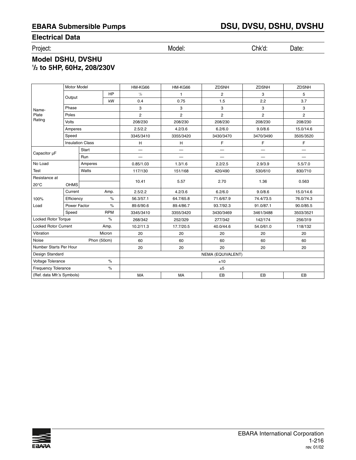### **Electrical Data**

Project: Model: Chk'd: Date:

# **Model DSHU, DVSHU 1 /2 to 5HP, 60Hz, 208/230V**

|                             | <b>Motor Model</b>      |             |            | HM-KG66        | HM-KG66                  | <b>ZDSNH</b>      | <b>ZDSNH</b>      | <b>ZDSNH</b>   |
|-----------------------------|-------------------------|-------------|------------|----------------|--------------------------|-------------------|-------------------|----------------|
|                             | Output                  |             | <b>HP</b>  | 1/2            | $\mathbf{1}$             | $\overline{2}$    | 3                 | 5              |
|                             |                         |             | kW         | 0.4            | 0.75                     | 1.5               | 2.2               | 3.7            |
| Name-                       | Phase                   |             |            | 3              | 3                        | 3                 | 3                 | 3              |
| Plate                       | Poles                   |             |            | $\overline{2}$ | $\overline{2}$           | $\overline{2}$    | $\overline{2}$    | $\overline{2}$ |
| Rating                      | Volts                   |             |            | 208/230        | 208/230                  | 208/230           | 208/230           |                |
|                             | Amperes                 |             |            | 2.5/2.2        | 4.2/3.6                  | 6.2/6.0           | 9.0/8.6           | 15.0/14.6      |
|                             | Speed                   |             |            | 3345/3410      | 3355/3420                | 3430/3470         | 3470/3490         | 3505/3520      |
|                             | <b>Insulation Class</b> |             |            | н              | H                        | F                 | F                 | F              |
| Capacitor µF                |                         | Start       |            | —              | $\overline{\phantom{0}}$ | —                 | $\qquad \qquad -$ | —              |
|                             |                         | Run         |            |                | $\overline{\phantom{0}}$ |                   | $\equiv$          |                |
| No Load                     |                         | Amperes     |            | 0.85/1.03      | 1.3/1.6                  | 2.2/2.5           | 2.9/3.9           | 5.5/7.0        |
| Test                        | Watts                   |             | 117/130    | 151/168        | 420/490                  | 530/610           | 830/710           |                |
| Resistance at               |                         |             |            | 10.41          | 5.57                     | 2.70              | 1.36              | 0.563          |
| $20^{\circ}$ C              | <b>OHMS</b>             |             |            |                |                          |                   |                   |                |
|                             | Current                 |             | Amp.       | 2.5/2.2        | 4.2/3.6                  | 6.2/6.0           | 9.0/8.6           | 15.0/14.6      |
| 100%                        | Efficiency              |             | $\%$       | 56.3/57.1      | 64.7/65.8                | 71.6/67.9         | 74.4/73.5         | 76.0/74.3      |
| Load                        | Power Factor            |             | $\%$       | 89.6/90.6      | 89.4/86.7                | 93.7/92.3         | 91.0/87.1         | 90.0/85.5      |
|                             | Speed                   |             | <b>RPM</b> | 3345/3410      | 3355/3420                | 3430/3469         | 3461/3488         | 3503/3521      |
| <b>Locked Rotor Torque</b>  |                         |             | $\%$       | 268/342        | 252/329                  | 277/342           | 142/174           | 256/319        |
| <b>Locked Rotor Current</b> |                         |             | Amp.       | 10.2/11.3      | 17.7/20.5                | 40.0/44.6         | 54.0/61.0         | 118/132        |
| Vibration                   |                         |             | Micron     | 20             | 20                       | 20                | 20                | 20             |
| Noise                       |                         | Phon (50cm) |            | 60             | 60                       | 60                | 60                | 60             |
| Number Starts Per Hour      |                         |             |            | 20             | 20                       | 20                | 20                | 20             |
| Design Standard             |                         |             |            |                |                          | NEMA (EQUIVALENT) |                   |                |
| Voltage Tolerance           |                         |             | $\%$       |                |                          | ±10               |                   |                |
| Frequency Tolerance         |                         |             | $\%$       |                |                          | ±5                |                   |                |
| (Ref. data Mfr.'s Symbols)  |                         |             |            | MA             | <b>MA</b>                | EB                | EB                | EB             |

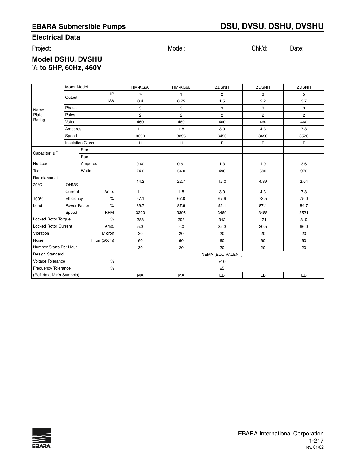### **Electrical Data**

Project: Model: Chk'd: Date:

# **Model DSHU, DVSHU 1 /2 to 5HP, 60Hz, 460V**

|                             | Motor Model             |              |             | HM-KG66                  | HM-KG66                  | <b>ZDSNH</b>             | <b>ZDSNH</b>             | <b>ZDSNH</b>   |
|-----------------------------|-------------------------|--------------|-------------|--------------------------|--------------------------|--------------------------|--------------------------|----------------|
|                             | Output                  |              | HP          | 1/2                      | $\mathbf{1}$             | $\overline{2}$           | 3                        | 5              |
|                             |                         |              | kW          | 0.4                      | 0.75                     | 1.5                      | 2.2                      | 3.7            |
| Name-                       | Phase                   |              |             | 3                        | 3                        | 3                        | 3                        | 3              |
| Plate                       | Poles                   |              |             | $\overline{c}$           | $\mathbf{2}$             | $\overline{c}$           | $\overline{2}$           | $\overline{2}$ |
| Rating                      | <b>Volts</b>            |              |             | 460                      | 460                      | 460                      | 460                      | 460            |
|                             | Amperes                 |              |             | 1.1                      | 1.8                      | 3.0                      | 4.3                      | 7.3            |
|                             | Speed                   |              |             | 3390                     | 3395                     | 3450                     | 3490                     | 3520           |
|                             | <b>Insulation Class</b> |              |             | H                        | H                        | F.                       | F                        | $\mathsf F$    |
| Capacitor µF                |                         | <b>Start</b> |             | $\overline{\phantom{0}}$ | $\overline{\phantom{0}}$ | $\overline{\phantom{m}}$ | $\qquad \qquad$          | —              |
|                             |                         | Run          |             |                          | $\equiv$                 | —                        | $\overline{\phantom{0}}$ |                |
| No Load                     |                         | Amperes      |             | 0.40                     | 0.61                     | 1.3                      | 1.9                      | 3.6            |
| Test                        | Watts                   |              | 74.0        | 54.0                     | 490                      | 590                      | 970                      |                |
| Resistance at               |                         |              |             | 44.2                     | 22.7                     | 12.0                     | 4.89                     | 2.04           |
| $20^{\circ}$ C              | <b>OHMS</b>             |              |             |                          |                          |                          |                          |                |
|                             | Current                 |              | Amp.        | 1.1                      | 1.8                      | 3.0                      | 4.3                      | 7.3            |
| 100%                        | Efficiency              |              | $\%$        | 57.1                     | 67.0                     | 67.9                     | 73.5                     | 75.0           |
| Load                        | Power Factor            |              | $\%$        | 89.7                     | 87.9                     | 92.1                     | 87.1                     | 84.7           |
|                             | Speed                   |              | <b>RPM</b>  | 3390                     | 3395                     | 3469                     | 3488                     | 3521           |
| <b>Locked Rotor Torque</b>  |                         |              | $\%$        | 288                      | 293                      | 342                      | 174                      | 319            |
| <b>Locked Rotor Current</b> |                         |              | Amp.        | 5.3                      | 9.0                      | 22.3                     | 30.5                     | 66.0           |
| Vibration                   |                         |              | Micron      | 20                       | 20                       | 20                       | 20                       | 20             |
| Noise                       |                         |              | Phon (50cm) | 60                       | 60                       | 60                       | 60                       | 60             |
| Number Starts Per Hour      |                         |              |             | 20                       | 20                       | 20                       | 20                       | 20             |
| Design Standard             |                         |              |             |                          |                          | NEMA (EQUIVALENT)        |                          |                |
| Voltage Tolerance<br>$\%$   |                         |              |             |                          |                          | ±10                      |                          |                |
| Frequency Tolerance         |                         |              | $\%$        |                          |                          | ±5                       |                          |                |
| (Ref. data Mfr.'s Symbols)  |                         |              |             | MA                       | MA                       | EB                       | EB                       | EB             |

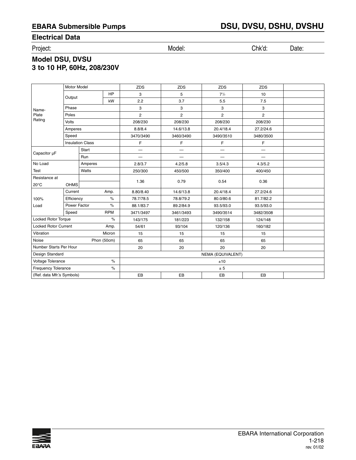# **Electrical Data**

Project: Model: Chk'd: Date:

# **Model DSU, DVSU 3 to 10 HP, 60Hz, 208/230V**

|                             | <b>Motor Model</b>      |         |             | <b>ZDS</b>     | <b>ZDS</b>               | <b>ZDS</b>     | <b>ZDS</b>               |  |
|-----------------------------|-------------------------|---------|-------------|----------------|--------------------------|----------------|--------------------------|--|
|                             | Output                  |         | HP          | 3              | 5                        | $7^{1/2}$      | 10                       |  |
|                             |                         |         | kW          | 2.2            | 3.7                      | 5.5            | 7.5                      |  |
| Name-                       | Phase                   |         |             | 3              | 3                        | 3              | 3                        |  |
| Plate                       | Poles                   |         |             | $\overline{2}$ | $\overline{2}$           | $\overline{2}$ | $\overline{2}$           |  |
| Rating                      | Volts                   |         |             | 208/230        | 208/230                  | 208/230        | 208/230                  |  |
|                             | Amperes                 |         |             | 8.8/8.4        | 14.6/13.8                | 20.4/18.4      | 27.2/24.6                |  |
|                             | Speed                   |         |             | 3470/3490      | 3460/3490                | 3490/3510      | 3480/3500                |  |
|                             | <b>Insulation Class</b> |         |             | F              | F                        | F              | F                        |  |
| Capacitor µF                |                         | Start   |             | —              | $\overline{\phantom{0}}$ | —              | $\overline{\phantom{0}}$ |  |
|                             |                         | Run     |             |                |                          |                | $\overline{\phantom{0}}$ |  |
| No Load                     |                         | Amperes |             | 2.8/3.7        | 4.2/5.8                  | 3.5/4.3        | 4.3/5.2                  |  |
| Test                        |                         | Watts   |             | 250/300        | 450/500                  | 350/400        | 400/450                  |  |
| Resistance at               |                         |         | 1.36        | 0.79           | 0.54                     | 0.36           |                          |  |
| $20^{\circ}$ C              | <b>OHMS</b>             |         |             |                |                          |                |                          |  |
|                             | Current                 |         | Amp.        | 8.80/8.40      | 14.6/13.8                | 20.4/18.4      | 27.2/24.6                |  |
| 100%                        | Efficiency              |         | $\%$        | 78.7/78.5      | 78.8/79.2                | 80.0/80.6      | 81.7/82.2                |  |
| Load                        | Power Factor            |         | $\%$        | 88.1/83.7      | 89.2/84.9                | 93.5/93.0      | 93.5/93.0                |  |
|                             | Speed                   |         | <b>RPM</b>  | 3471/3497      | 3461/3493                | 3490/3514      | 3482/3508                |  |
| <b>Locked Rotor Torque</b>  |                         |         | $\%$        | 143/175        | 181/223                  | 132/158        | 124/148                  |  |
| <b>Locked Rotor Current</b> |                         |         | Amp.        | 54/61          | 93/104                   | 120/136        | 160/182                  |  |
| Vibration                   |                         |         | Micron      | 15             | 15                       | 15             | 15                       |  |
| Noise                       |                         |         | Phon (50cm) | 65             | 65                       | 65             | 65                       |  |
| Number Starts Per Hour      |                         |         | 20          | 20             | 20                       | 20             |                          |  |
| Design Standard             |                         |         |             |                | NEMA (EQUIVALENT)        |                |                          |  |
| Voltage Tolerance           |                         |         | $\%$        |                |                          | ±10            |                          |  |
| <b>Frequency Tolerance</b>  |                         |         | $\%$        |                |                          | ± 5            |                          |  |
| (Ref. data Mfr.'s Symbols)  |                         |         |             | EB             | EB                       | EB             | EB                       |  |